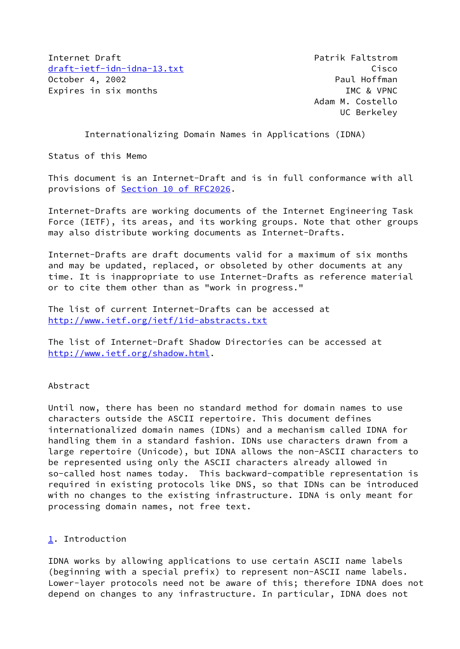Internet Draft **Patrician Communist Patrician** Patrik Faltstrom [draft-ietf-idn-idna-13.txt](https://datatracker.ietf.org/doc/pdf/draft-ietf-idn-idna-13.txt) Cisco October 4, 2002 **Paul Hoffman** Expires in six months **IMC** & VPNC

 Adam M. Costello UC Berkeley

Internationalizing Domain Names in Applications (IDNA)

Status of this Memo

This document is an Internet-Draft and is in full conformance with all provisions of Section [10 of RFC2026.](https://datatracker.ietf.org/doc/pdf/rfc2026#section-10)

Internet-Drafts are working documents of the Internet Engineering Task Force (IETF), its areas, and its working groups. Note that other groups may also distribute working documents as Internet-Drafts.

Internet-Drafts are draft documents valid for a maximum of six months and may be updated, replaced, or obsoleted by other documents at any time. It is inappropriate to use Internet-Drafts as reference material or to cite them other than as "work in progress."

The list of current Internet-Drafts can be accessed at <http://www.ietf.org/ietf/1id-abstracts.txt>

The list of Internet-Draft Shadow Directories can be accessed at <http://www.ietf.org/shadow.html>.

Abstract

Until now, there has been no standard method for domain names to use characters outside the ASCII repertoire. This document defines internationalized domain names (IDNs) and a mechanism called IDNA for handling them in a standard fashion. IDNs use characters drawn from a large repertoire (Unicode), but IDNA allows the non-ASCII characters to be represented using only the ASCII characters already allowed in so-called host names today. This backward-compatible representation is required in existing protocols like DNS, so that IDNs can be introduced with no changes to the existing infrastructure. IDNA is only meant for processing domain names, not free text.

# <span id="page-0-0"></span>[1](#page-0-0). Introduction

IDNA works by allowing applications to use certain ASCII name labels (beginning with a special prefix) to represent non-ASCII name labels. Lower-layer protocols need not be aware of this; therefore IDNA does not depend on changes to any infrastructure. In particular, IDNA does not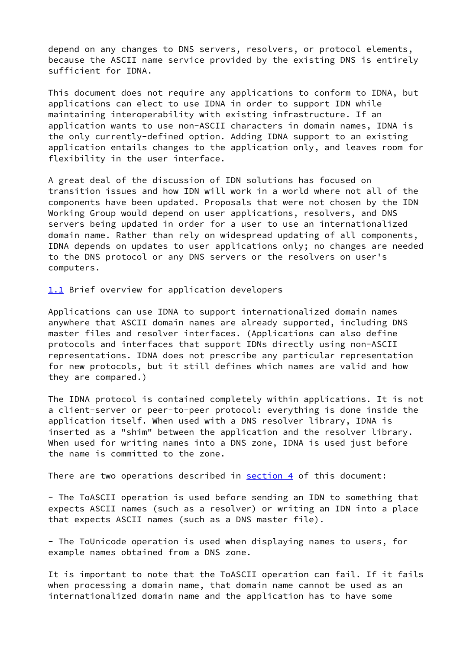depend on any changes to DNS servers, resolvers, or protocol elements, because the ASCII name service provided by the existing DNS is entirely sufficient for IDNA.

This document does not require any applications to conform to IDNA, but applications can elect to use IDNA in order to support IDN while maintaining interoperability with existing infrastructure. If an application wants to use non-ASCII characters in domain names, IDNA is the only currently-defined option. Adding IDNA support to an existing application entails changes to the application only, and leaves room for flexibility in the user interface.

A great deal of the discussion of IDN solutions has focused on transition issues and how IDN will work in a world where not all of the components have been updated. Proposals that were not chosen by the IDN Working Group would depend on user applications, resolvers, and DNS servers being updated in order for a user to use an internationalized domain name. Rather than rely on widespread updating of all components, IDNA depends on updates to user applications only; no changes are needed to the DNS protocol or any DNS servers or the resolvers on user's computers.

<span id="page-1-0"></span>[1.1](#page-1-0) Brief overview for application developers

Applications can use IDNA to support internationalized domain names anywhere that ASCII domain names are already supported, including DNS master files and resolver interfaces. (Applications can also define protocols and interfaces that support IDNs directly using non-ASCII representations. IDNA does not prescribe any particular representation for new protocols, but it still defines which names are valid and how they are compared.)

The IDNA protocol is contained completely within applications. It is not a client-server or peer-to-peer protocol: everything is done inside the application itself. When used with a DNS resolver library, IDNA is inserted as a "shim" between the application and the resolver library. When used for writing names into a DNS zone, IDNA is used just before the name is committed to the zone.

There are two operations described in  $section 4$  of this document:

- The ToASCII operation is used before sending an IDN to something that expects ASCII names (such as a resolver) or writing an IDN into a place that expects ASCII names (such as a DNS master file).

- The ToUnicode operation is used when displaying names to users, for example names obtained from a DNS zone.

It is important to note that the ToASCII operation can fail. If it fails when processing a domain name, that domain name cannot be used as an internationalized domain name and the application has to have some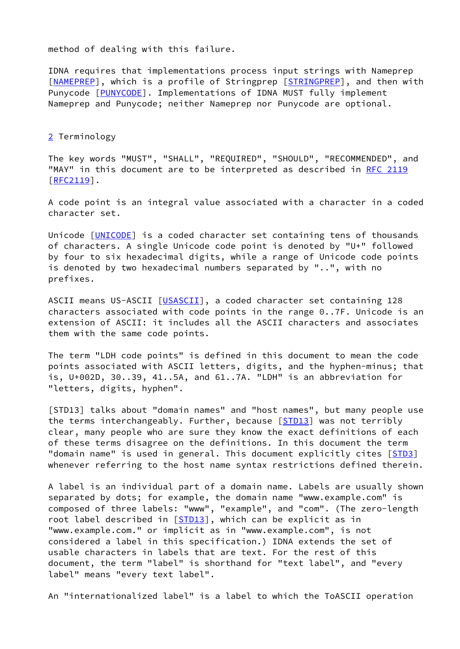method of dealing with this failure.

IDNA requires that implementations process input strings with Nameprep [\[NAMEPREP](#page-13-0)], which is a profile of Stringprep [[STRINGPREP\]](#page-13-1), and then with Punycode [[PUNYCODE\]](#page-13-2). Implementations of IDNA MUST fully implement Nameprep and Punycode; neither Nameprep nor Punycode are optional.

<span id="page-2-0"></span>[2](#page-2-0) Terminology

The key words "MUST", "SHALL", "REQUIRED", "SHOULD", "RECOMMENDED", and "MAY" in this document are to be interpreted as described in [RFC 2119](https://datatracker.ietf.org/doc/pdf/rfc2119) [\[RFC2119](https://datatracker.ietf.org/doc/pdf/rfc2119)].

A code point is an integral value associated with a character in a coded character set.

Unicode [\[UNICODE](#page-14-0)] is a coded character set containing tens of thousands of characters. A single Unicode code point is denoted by "U+" followed by four to six hexadecimal digits, while a range of Unicode code points is denoted by two hexadecimal numbers separated by "..", with no prefixes.

ASCII means US-ASCII [[USASCII](#page-14-1)], a coded character set containing 128 characters associated with code points in the range 0..7F. Unicode is an extension of ASCII: it includes all the ASCII characters and associates them with the same code points.

The term "LDH code points" is defined in this document to mean the code points associated with ASCII letters, digits, and the hyphen-minus; that is, U+002D, 30..39, 41..5A, and 61..7A. "LDH" is an abbreviation for "letters, digits, hyphen".

<span id="page-2-1"></span>[STD13] talks about "domain names" and "host names", but many people use the terms interchangeably. Further, because [\[STD13\]](#page-2-1) was not terribly clear, many people who are sure they know the exact definitions of each of these terms disagree on the definitions. In this document the term "domain name" is used in general. This document explicitly cites [[STD3\]](#page-13-3) whenever referring to the host name syntax restrictions defined therein.

A label is an individual part of a domain name. Labels are usually shown separated by dots; for example, the domain name "www.example.com" is composed of three labels: "www", "example", and "com". (The zero-length root label described in [\[STD13\]](#page-2-1), which can be explicit as in "www.example.com." or implicit as in "www.example.com", is not considered a label in this specification.) IDNA extends the set of usable characters in labels that are text. For the rest of this document, the term "label" is shorthand for "text label", and "every label" means "every text label".

An "internationalized label" is a label to which the ToASCII operation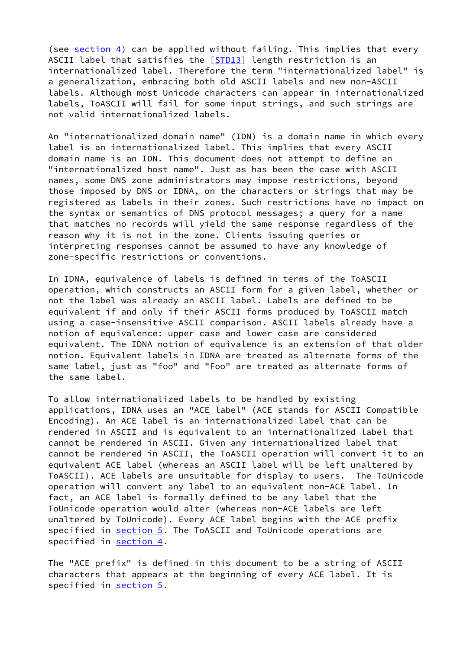(see [section 4\)](#page-5-0) can be applied without failing. This implies that every ASCII label that satisfies the [\[STD13](#page-2-1)] length restriction is an internationalized label. Therefore the term "internationalized label" is a generalization, embracing both old ASCII labels and new non-ASCII labels. Although most Unicode characters can appear in internationalized labels, ToASCII will fail for some input strings, and such strings are not valid internationalized labels.

An "internationalized domain name" (IDN) is a domain name in which every label is an internationalized label. This implies that every ASCII domain name is an IDN. This document does not attempt to define an "internationalized host name". Just as has been the case with ASCII names, some DNS zone administrators may impose restrictions, beyond those imposed by DNS or IDNA, on the characters or strings that may be registered as labels in their zones. Such restrictions have no impact on the syntax or semantics of DNS protocol messages; a query for a name that matches no records will yield the same response regardless of the reason why it is not in the zone. Clients issuing queries or interpreting responses cannot be assumed to have any knowledge of zone-specific restrictions or conventions.

In IDNA, equivalence of labels is defined in terms of the ToASCII operation, which constructs an ASCII form for a given label, whether or not the label was already an ASCII label. Labels are defined to be equivalent if and only if their ASCII forms produced by ToASCII match using a case-insensitive ASCII comparison. ASCII labels already have a notion of equivalence: upper case and lower case are considered equivalent. The IDNA notion of equivalence is an extension of that older notion. Equivalent labels in IDNA are treated as alternate forms of the same label, just as "foo" and "Foo" are treated as alternate forms of the same label.

To allow internationalized labels to be handled by existing applications, IDNA uses an "ACE label" (ACE stands for ASCII Compatible Encoding). An ACE label is an internationalized label that can be rendered in ASCII and is equivalent to an internationalized label that cannot be rendered in ASCII. Given any internationalized label that cannot be rendered in ASCII, the ToASCII operation will convert it to an equivalent ACE label (whereas an ASCII label will be left unaltered by ToASCII). ACE labels are unsuitable for display to users. The ToUnicode operation will convert any label to an equivalent non-ACE label. In fact, an ACE label is formally defined to be any label that the ToUnicode operation would alter (whereas non-ACE labels are left unaltered by ToUnicode). Every ACE label begins with the ACE prefix specified in [section 5.](#page-8-0) The ToASCII and ToUnicode operations are specified in [section 4.](#page-5-0)

The "ACE prefix" is defined in this document to be a string of ASCII characters that appears at the beginning of every ACE label. It is specified in [section 5.](#page-8-0)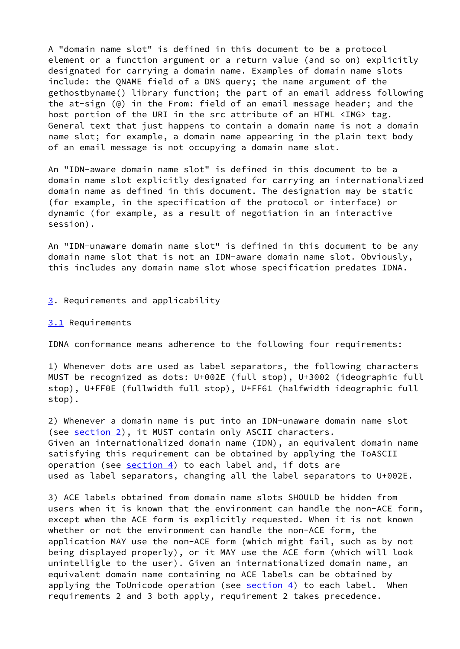A "domain name slot" is defined in this document to be a protocol element or a function argument or a return value (and so on) explicitly designated for carrying a domain name. Examples of domain name slots include: the QNAME field of a DNS query; the name argument of the gethostbyname() library function; the part of an email address following the at-sign (@) in the From: field of an email message header; and the host portion of the URI in the src attribute of an HTML <IMG> tag. General text that just happens to contain a domain name is not a domain name slot; for example, a domain name appearing in the plain text body of an email message is not occupying a domain name slot.

An "IDN-aware domain name slot" is defined in this document to be a domain name slot explicitly designated for carrying an internationalized domain name as defined in this document. The designation may be static (for example, in the specification of the protocol or interface) or dynamic (for example, as a result of negotiation in an interactive session).

An "IDN-unaware domain name slot" is defined in this document to be any domain name slot that is not an IDN-aware domain name slot. Obviously, this includes any domain name slot whose specification predates IDNA.

# <span id="page-4-0"></span>[3](#page-4-0). Requirements and applicability

#### <span id="page-4-1"></span>[3.1](#page-4-1) Requirements

IDNA conformance means adherence to the following four requirements:

1) Whenever dots are used as label separators, the following characters MUST be recognized as dots: U+002E (full stop), U+3002 (ideographic full stop), U+FF0E (fullwidth full stop), U+FF61 (halfwidth ideographic full stop).

2) Whenever a domain name is put into an IDN-unaware domain name slot (see [section 2\)](#page-2-0), it MUST contain only ASCII characters. Given an internationalized domain name (IDN), an equivalent domain name satisfying this requirement can be obtained by applying the ToASCII operation (see  $section 4$ ) to each label and, if dots are used as label separators, changing all the label separators to U+002E.

3) ACE labels obtained from domain name slots SHOULD be hidden from users when it is known that the environment can handle the non-ACE form, except when the ACE form is explicitly requested. When it is not known whether or not the environment can handle the non-ACE form, the application MAY use the non-ACE form (which might fail, such as by not being displayed properly), or it MAY use the ACE form (which will look unintelligle to the user). Given an internationalized domain name, an equivalent domain name containing no ACE labels can be obtained by applying the ToUnicode operation (see [section 4\)](#page-5-0) to each label. When requirements 2 and 3 both apply, requirement 2 takes precedence.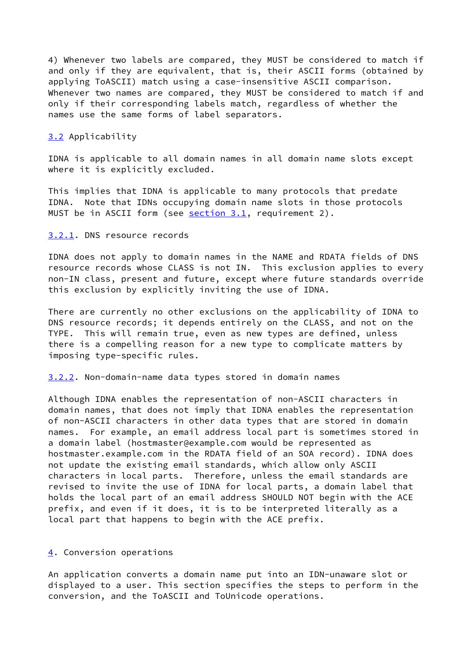4) Whenever two labels are compared, they MUST be considered to match if and only if they are equivalent, that is, their ASCII forms (obtained by applying ToASCII) match using a case-insensitive ASCII comparison. Whenever two names are compared, they MUST be considered to match if and only if their corresponding labels match, regardless of whether the names use the same forms of label separators.

### <span id="page-5-1"></span>[3.2](#page-5-1) Applicability

IDNA is applicable to all domain names in all domain name slots except where it is explicitly excluded.

This implies that IDNA is applicable to many protocols that predate IDNA. Note that IDNs occupying domain name slots in those protocols MUST be in ASCII form (see [section 3.1](#page-4-1), requirement 2).

#### <span id="page-5-2"></span>[3.2.1](#page-5-2). DNS resource records

IDNA does not apply to domain names in the NAME and RDATA fields of DNS resource records whose CLASS is not IN. This exclusion applies to every non-IN class, present and future, except where future standards override this exclusion by explicitly inviting the use of IDNA.

There are currently no other exclusions on the applicability of IDNA to DNS resource records; it depends entirely on the CLASS, and not on the TYPE. This will remain true, even as new types are defined, unless there is a compelling reason for a new type to complicate matters by imposing type-specific rules.

# <span id="page-5-3"></span>[3.2.2](#page-5-3). Non-domain-name data types stored in domain names

Although IDNA enables the representation of non-ASCII characters in domain names, that does not imply that IDNA enables the representation of non-ASCII characters in other data types that are stored in domain names. For example, an email address local part is sometimes stored in a domain label (hostmaster@example.com would be represented as hostmaster.example.com in the RDATA field of an SOA record). IDNA does not update the existing email standards, which allow only ASCII characters in local parts. Therefore, unless the email standards are revised to invite the use of IDNA for local parts, a domain label that holds the local part of an email address SHOULD NOT begin with the ACE prefix, and even if it does, it is to be interpreted literally as a local part that happens to begin with the ACE prefix.

### <span id="page-5-0"></span>[4](#page-5-0). Conversion operations

An application converts a domain name put into an IDN-unaware slot or displayed to a user. This section specifies the steps to perform in the conversion, and the ToASCII and ToUnicode operations.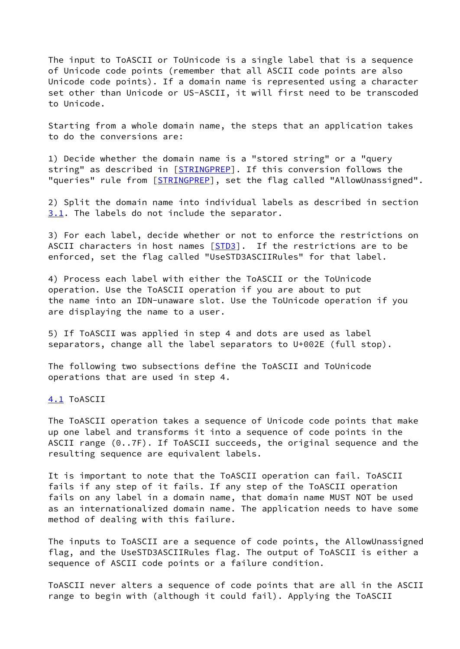The input to ToASCII or ToUnicode is a single label that is a sequence of Unicode code points (remember that all ASCII code points are also Unicode code points). If a domain name is represented using a character set other than Unicode or US-ASCII, it will first need to be transcoded to Unicode.

Starting from a whole domain name, the steps that an application takes to do the conversions are:

1) Decide whether the domain name is a "stored string" or a "query string" as described in [\[STRINGPREP\]](#page-13-1). If this conversion follows the "queries" rule from [\[STRINGPREP\]](#page-13-1), set the flag called "AllowUnassigned".

2) Split the domain name into individual labels as described in section [3.1](#page-4-1). The labels do not include the separator.

3) For each label, decide whether or not to enforce the restrictions on ASCII characters in host names [\[STD3](#page-13-3)]. If the restrictions are to be enforced, set the flag called "UseSTD3ASCIIRules" for that label.

4) Process each label with either the ToASCII or the ToUnicode operation. Use the ToASCII operation if you are about to put the name into an IDN-unaware slot. Use the ToUnicode operation if you are displaying the name to a user.

5) If ToASCII was applied in step 4 and dots are used as label separators, change all the label separators to U+002E (full stop).

The following two subsections define the ToASCII and ToUnicode operations that are used in step 4.

<span id="page-6-0"></span>[4.1](#page-6-0) ToASCII

The ToASCII operation takes a sequence of Unicode code points that make up one label and transforms it into a sequence of code points in the ASCII range (0..7F). If ToASCII succeeds, the original sequence and the resulting sequence are equivalent labels.

It is important to note that the ToASCII operation can fail. ToASCII fails if any step of it fails. If any step of the ToASCII operation fails on any label in a domain name, that domain name MUST NOT be used as an internationalized domain name. The application needs to have some method of dealing with this failure.

The inputs to ToASCII are a sequence of code points, the AllowUnassigned flag, and the UseSTD3ASCIIRules flag. The output of ToASCII is either a sequence of ASCII code points or a failure condition.

ToASCII never alters a sequence of code points that are all in the ASCII range to begin with (although it could fail). Applying the ToASCII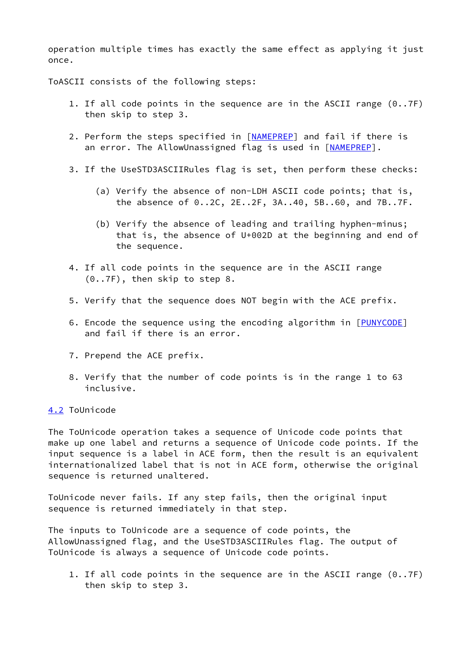operation multiple times has exactly the same effect as applying it just once.

ToASCII consists of the following steps:

- 1. If all code points in the sequence are in the ASCII range (0..7F) then skip to step 3.
- 2. Perform the steps specified in [[NAMEPREP\]](#page-13-0) and fail if there is an error. The AllowUnassigned flag is used in [[NAMEPREP\]](#page-13-0).
- 3. If the UseSTD3ASCIIRules flag is set, then perform these checks:
	- (a) Verify the absence of non-LDH ASCII code points; that is, the absence of 0..2C, 2E..2F, 3A..40, 5B..60, and 7B..7F.
	- (b) Verify the absence of leading and trailing hyphen-minus; that is, the absence of U+002D at the beginning and end of the sequence.
- 4. If all code points in the sequence are in the ASCII range (0..7F), then skip to step 8.
- 5. Verify that the sequence does NOT begin with the ACE prefix.
- 6. Encode the sequence using the encoding algorithm in [\[PUNYCODE](#page-13-2)] and fail if there is an error.
- 7. Prepend the ACE prefix.
- 8. Verify that the number of code points is in the range 1 to 63 inclusive.

# <span id="page-7-0"></span>[4.2](#page-7-0) ToUnicode

The ToUnicode operation takes a sequence of Unicode code points that make up one label and returns a sequence of Unicode code points. If the input sequence is a label in ACE form, then the result is an equivalent internationalized label that is not in ACE form, otherwise the original sequence is returned unaltered.

ToUnicode never fails. If any step fails, then the original input sequence is returned immediately in that step.

The inputs to ToUnicode are a sequence of code points, the AllowUnassigned flag, and the UseSTD3ASCIIRules flag. The output of ToUnicode is always a sequence of Unicode code points.

 1. If all code points in the sequence are in the ASCII range (0..7F) then skip to step 3.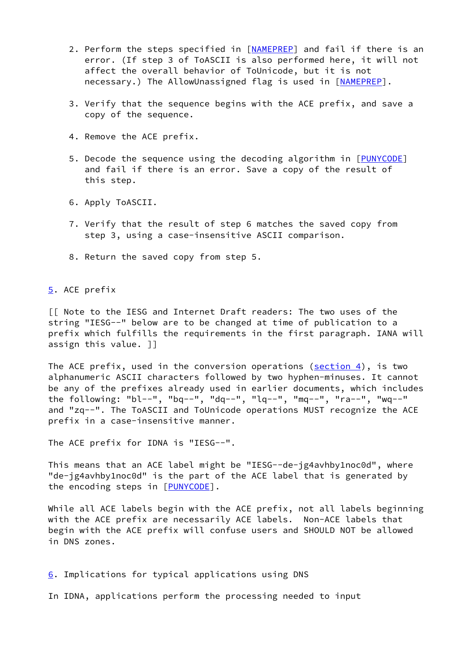- 2. Perform the steps specified in [[NAMEPREP\]](#page-13-0) and fail if there is an error. (If step 3 of ToASCII is also performed here, it will not affect the overall behavior of ToUnicode, but it is not necessary.) The AllowUnassigned flag is used in [\[NAMEPREP](#page-13-0)].
- 3. Verify that the sequence begins with the ACE prefix, and save a copy of the sequence.
- 4. Remove the ACE prefix.
- 5. Decode the sequence using the decoding algorithm in [\[PUNYCODE](#page-13-2)] and fail if there is an error. Save a copy of the result of this step.
- 6. Apply ToASCII.
- 7. Verify that the result of step 6 matches the saved copy from step 3, using a case-insensitive ASCII comparison.
- 8. Return the saved copy from step 5.

<span id="page-8-0"></span>[5](#page-8-0). ACE prefix

[[ Note to the IESG and Internet Draft readers: The two uses of the string "IESG--" below are to be changed at time of publication to a prefix which fulfills the requirements in the first paragraph. IANA will assign this value. ]]

The ACE prefix, used in the conversion operations [\(section 4](#page-5-0)), is two alphanumeric ASCII characters followed by two hyphen-minuses. It cannot be any of the prefixes already used in earlier documents, which includes the following: "bl--", "bq--", "dq--", "lq--", "mq--", "ra--", "wq--" and "zq--". The ToASCII and ToUnicode operations MUST recognize the ACE prefix in a case-insensitive manner.

The ACE prefix for IDNA is "IESG--".

This means that an ACE label might be "IESG--de-jg4avhby1noc0d", where "de-jg4avhby1noc0d" is the part of the ACE label that is generated by the encoding steps in [[PUNYCODE\]](#page-13-2).

While all ACE labels begin with the ACE prefix, not all labels beginning with the ACE prefix are necessarily ACE labels. Non-ACE labels that begin with the ACE prefix will confuse users and SHOULD NOT be allowed in DNS zones.

<span id="page-8-1"></span>[6](#page-8-1). Implications for typical applications using DNS

In IDNA, applications perform the processing needed to input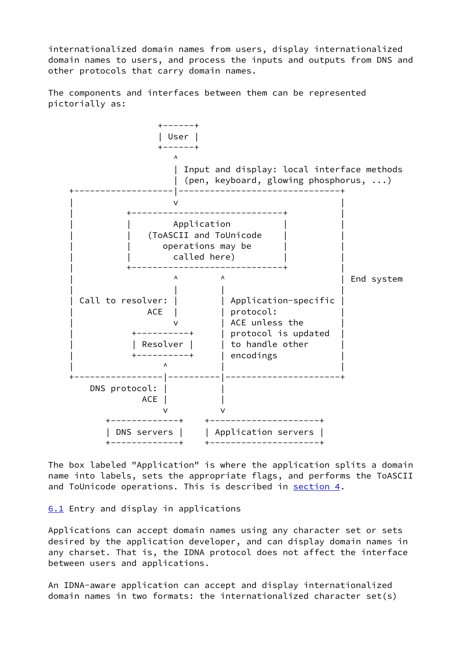internationalized domain names from users, display internationalized domain names to users, and process the inputs and outputs from DNS and other protocols that carry domain names.

The components and interfaces between them can be represented pictorially as:



The box labeled "Application" is where the application splits a domain name into labels, sets the appropriate flags, and performs the ToASCII and ToUnicode operations. This is described in [section 4.](#page-5-0)

<span id="page-9-0"></span>[6.1](#page-9-0) Entry and display in applications

Applications can accept domain names using any character set or sets desired by the application developer, and can display domain names in any charset. That is, the IDNA protocol does not affect the interface between users and applications.

An IDNA-aware application can accept and display internationalized domain names in two formats: the internationalized character set(s)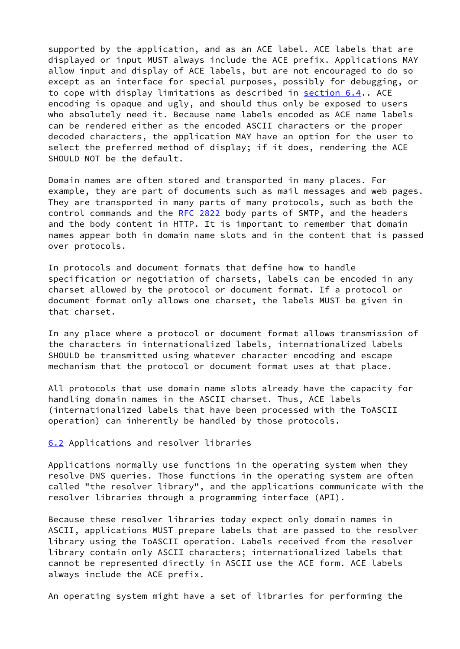supported by the application, and as an ACE label. ACE labels that are displayed or input MUST always include the ACE prefix. Applications MAY allow input and display of ACE labels, but are not encouraged to do so except as an interface for special purposes, possibly for debugging, or to cope with display limitations as described in [section 6.4](#page-11-0).. ACE encoding is opaque and ugly, and should thus only be exposed to users who absolutely need it. Because name labels encoded as ACE name labels can be rendered either as the encoded ASCII characters or the proper decoded characters, the application MAY have an option for the user to select the preferred method of display; if it does, rendering the ACE SHOULD NOT be the default.

Domain names are often stored and transported in many places. For example, they are part of documents such as mail messages and web pages. They are transported in many parts of many protocols, such as both the control commands and the [RFC 2822](https://datatracker.ietf.org/doc/pdf/rfc2822) body parts of SMTP, and the headers and the body content in HTTP. It is important to remember that domain names appear both in domain name slots and in the content that is passed over protocols.

In protocols and document formats that define how to handle specification or negotiation of charsets, labels can be encoded in any charset allowed by the protocol or document format. If a protocol or document format only allows one charset, the labels MUST be given in that charset.

In any place where a protocol or document format allows transmission of the characters in internationalized labels, internationalized labels SHOULD be transmitted using whatever character encoding and escape mechanism that the protocol or document format uses at that place.

All protocols that use domain name slots already have the capacity for handling domain names in the ASCII charset. Thus, ACE labels (internationalized labels that have been processed with the ToASCII operation) can inherently be handled by those protocols.

# <span id="page-10-0"></span>[6.2](#page-10-0) Applications and resolver libraries

Applications normally use functions in the operating system when they resolve DNS queries. Those functions in the operating system are often called "the resolver library", and the applications communicate with the resolver libraries through a programming interface (API).

Because these resolver libraries today expect only domain names in ASCII, applications MUST prepare labels that are passed to the resolver library using the ToASCII operation. Labels received from the resolver library contain only ASCII characters; internationalized labels that cannot be represented directly in ASCII use the ACE form. ACE labels always include the ACE prefix.

An operating system might have a set of libraries for performing the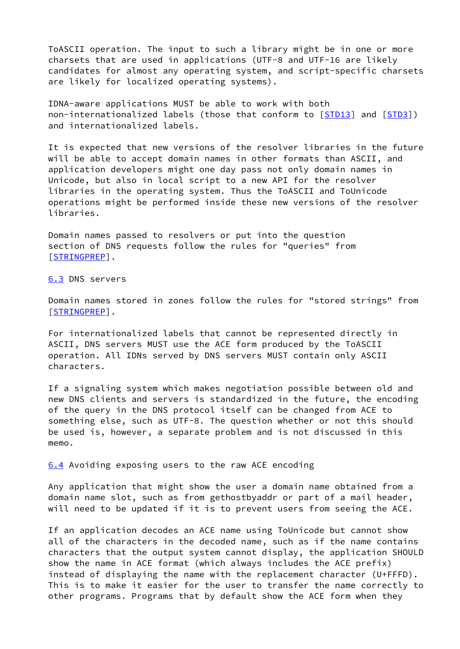ToASCII operation. The input to such a library might be in one or more charsets that are used in applications (UTF-8 and UTF-16 are likely candidates for almost any operating system, and script-specific charsets are likely for localized operating systems).

IDNA-aware applications MUST be able to work with both non-internationalized labels (those that conform to [\[STD13\]](#page-2-1) and [\[STD3](#page-13-3)]) and internationalized labels.

It is expected that new versions of the resolver libraries in the future will be able to accept domain names in other formats than ASCII, and application developers might one day pass not only domain names in Unicode, but also in local script to a new API for the resolver libraries in the operating system. Thus the ToASCII and ToUnicode operations might be performed inside these new versions of the resolver libraries.

Domain names passed to resolvers or put into the question section of DNS requests follow the rules for "queries" from [\[STRINGPREP\]](#page-13-1).

<span id="page-11-1"></span>[6.3](#page-11-1) DNS servers

Domain names stored in zones follow the rules for "stored strings" from [\[STRINGPREP\]](#page-13-1).

For internationalized labels that cannot be represented directly in ASCII, DNS servers MUST use the ACE form produced by the ToASCII operation. All IDNs served by DNS servers MUST contain only ASCII characters.

If a signaling system which makes negotiation possible between old and new DNS clients and servers is standardized in the future, the encoding of the query in the DNS protocol itself can be changed from ACE to something else, such as UTF-8. The question whether or not this should be used is, however, a separate problem and is not discussed in this memo.

<span id="page-11-0"></span>[6.4](#page-11-0) Avoiding exposing users to the raw ACE encoding

Any application that might show the user a domain name obtained from a domain name slot, such as from gethostbyaddr or part of a mail header, will need to be updated if it is to prevent users from seeing the ACE.

If an application decodes an ACE name using ToUnicode but cannot show all of the characters in the decoded name, such as if the name contains characters that the output system cannot display, the application SHOULD show the name in ACE format (which always includes the ACE prefix) instead of displaying the name with the replacement character (U+FFFD). This is to make it easier for the user to transfer the name correctly to other programs. Programs that by default show the ACE form when they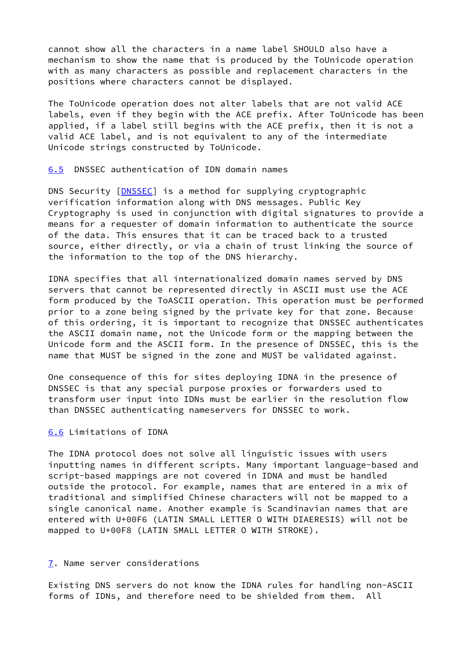cannot show all the characters in a name label SHOULD also have a mechanism to show the name that is produced by the ToUnicode operation with as many characters as possible and replacement characters in the positions where characters cannot be displayed.

The ToUnicode operation does not alter labels that are not valid ACE labels, even if they begin with the ACE prefix. After ToUnicode has been applied, if a label still begins with the ACE prefix, then it is not a valid ACE label, and is not equivalent to any of the intermediate Unicode strings constructed by ToUnicode.

<span id="page-12-0"></span>[6.5](#page-12-0) DNSSEC authentication of IDN domain names

DNS Security [[DNSSEC](#page-14-2)] is a method for supplying cryptographic verification information along with DNS messages. Public Key Cryptography is used in conjunction with digital signatures to provide a means for a requester of domain information to authenticate the source of the data. This ensures that it can be traced back to a trusted source, either directly, or via a chain of trust linking the source of the information to the top of the DNS hierarchy.

IDNA specifies that all internationalized domain names served by DNS servers that cannot be represented directly in ASCII must use the ACE form produced by the ToASCII operation. This operation must be performed prior to a zone being signed by the private key for that zone. Because of this ordering, it is important to recognize that DNSSEC authenticates the ASCII domain name, not the Unicode form or the mapping between the Unicode form and the ASCII form. In the presence of DNSSEC, this is the name that MUST be signed in the zone and MUST be validated against.

One consequence of this for sites deploying IDNA in the presence of DNSSEC is that any special purpose proxies or forwarders used to transform user input into IDNs must be earlier in the resolution flow than DNSSEC authenticating nameservers for DNSSEC to work.

### <span id="page-12-1"></span>[6.6](#page-12-1) Limitations of IDNA

The IDNA protocol does not solve all linguistic issues with users inputting names in different scripts. Many important language-based and script-based mappings are not covered in IDNA and must be handled outside the protocol. For example, names that are entered in a mix of traditional and simplified Chinese characters will not be mapped to a single canonical name. Another example is Scandinavian names that are entered with U+00F6 (LATIN SMALL LETTER O WITH DIAERESIS) will not be mapped to U+00F8 (LATIN SMALL LETTER O WITH STROKE).

# <span id="page-12-2"></span>[7](#page-12-2). Name server considerations

Existing DNS servers do not know the IDNA rules for handling non-ASCII forms of IDNs, and therefore need to be shielded from them. All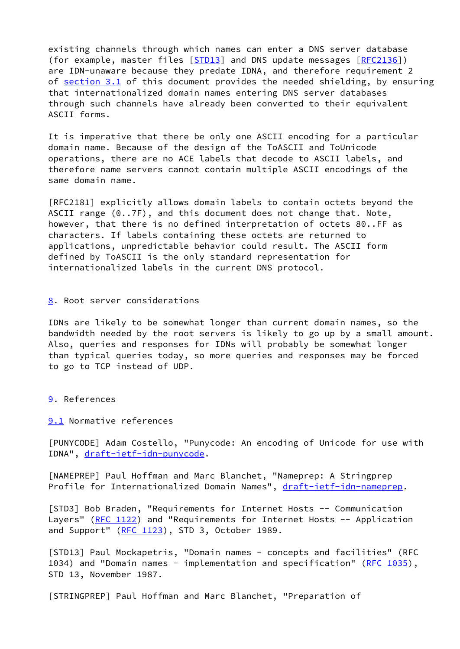existing channels through which names can enter a DNS server database (for example, master files [\[STD13](#page-2-1)] and DNS update messages [\[RFC2136](https://datatracker.ietf.org/doc/pdf/rfc2136)]) are IDN-unaware because they predate IDNA, and therefore requirement 2 of [section 3.1](#page-4-1) of this document provides the needed shielding, by ensuring that internationalized domain names entering DNS server databases through such channels have already been converted to their equivalent ASCII forms.

It is imperative that there be only one ASCII encoding for a particular domain name. Because of the design of the ToASCII and ToUnicode operations, there are no ACE labels that decode to ASCII labels, and therefore name servers cannot contain multiple ASCII encodings of the same domain name.

[RFC2181] explicitly allows domain labels to contain octets beyond the ASCII range (0..7F), and this document does not change that. Note, however, that there is no defined interpretation of octets 80..FF as characters. If labels containing these octets are returned to applications, unpredictable behavior could result. The ASCII form defined by ToASCII is the only standard representation for internationalized labels in the current DNS protocol.

### <span id="page-13-4"></span>[8](#page-13-4). Root server considerations

IDNs are likely to be somewhat longer than current domain names, so the bandwidth needed by the root servers is likely to go up by a small amount. Also, queries and responses for IDNs will probably be somewhat longer than typical queries today, so more queries and responses may be forced to go to TCP instead of UDP.

## <span id="page-13-5"></span>[9](#page-13-5). References

<span id="page-13-6"></span>[9.1](#page-13-6) Normative references

<span id="page-13-2"></span>[PUNYCODE] Adam Costello, "Punycode: An encoding of Unicode for use with IDNA", [draft-ietf-idn-punycode.](https://datatracker.ietf.org/doc/pdf/draft-ietf-idn-punycode)

<span id="page-13-0"></span>[NAMEPREP] Paul Hoffman and Marc Blanchet, "Nameprep: A Stringprep Profile for Internationalized Domain Names", [draft-ietf-idn-nameprep](https://datatracker.ietf.org/doc/pdf/draft-ietf-idn-nameprep).

<span id="page-13-3"></span>[STD3] Bob Braden, "Requirements for Internet Hosts -- Communication Layers" [\(RFC 1122](https://datatracker.ietf.org/doc/pdf/rfc1122)) and "Requirements for Internet Hosts -- Application and Support"  $(RFC 1123)$  $(RFC 1123)$ , STD 3, October 1989.

[STD13] Paul Mockapetris, "Domain names - concepts and facilities" (RFC 1034) and "Domain names - implementation and specification" [\(RFC 1035](https://datatracker.ietf.org/doc/pdf/rfc1035)), STD 13, November 1987.

<span id="page-13-1"></span>[STRINGPREP] Paul Hoffman and Marc Blanchet, "Preparation of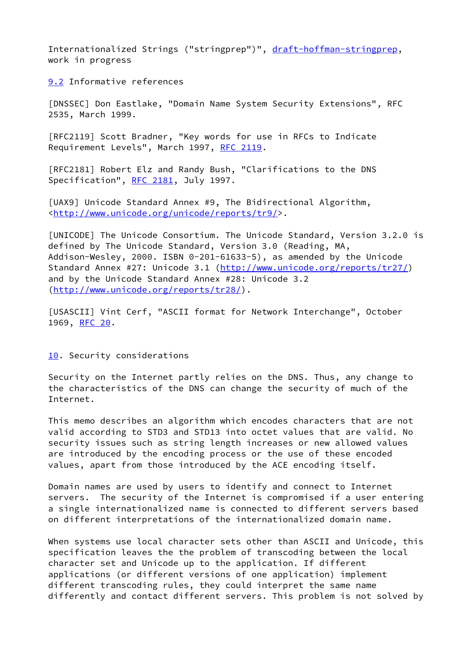Internationalized Strings ("stringprep")", [draft-hoffman-stringprep](https://datatracker.ietf.org/doc/pdf/draft-hoffman-stringprep), work in progress

<span id="page-14-3"></span>[9.2](#page-14-3) Informative references

<span id="page-14-2"></span>[DNSSEC] Don Eastlake, "Domain Name System Security Extensions", RFC 2535, March 1999.

[RFC2119] Scott Bradner, "Key words for use in RFCs to Indicate Requirement Levels", March 1997, [RFC 2119](https://datatracker.ietf.org/doc/pdf/rfc2119).

[RFC2181] Robert Elz and Randy Bush, "Clarifications to the DNS Specification", [RFC 2181](https://datatracker.ietf.org/doc/pdf/rfc2181), July 1997.

[UAX9] Unicode Standard Annex #9, The Bidirectional Algorithm, [<http://www.unicode.org/unicode/reports/tr9/](http://www.unicode.org/unicode/reports/tr9/)>.

<span id="page-14-0"></span>[UNICODE] The Unicode Consortium. The Unicode Standard, Version 3.2.0 is defined by The Unicode Standard, Version 3.0 (Reading, MA, Addison-Wesley, 2000. ISBN 0-201-61633-5), as amended by the Unicode Standard Annex #27: Unicode 3.1 [\(http://www.unicode.org/reports/tr27/](http://www.unicode.org/reports/tr27/)) and by the Unicode Standard Annex #28: Unicode 3.2 [\(http://www.unicode.org/reports/tr28/](http://www.unicode.org/reports/tr28/)).

<span id="page-14-1"></span>[USASCII] Vint Cerf, "ASCII format for Network Interchange", October 1969, [RFC 20](https://datatracker.ietf.org/doc/pdf/rfc20).

<span id="page-14-4"></span>[10.](#page-14-4) Security considerations

Security on the Internet partly relies on the DNS. Thus, any change to the characteristics of the DNS can change the security of much of the Internet.

This memo describes an algorithm which encodes characters that are not valid according to STD3 and STD13 into octet values that are valid. No security issues such as string length increases or new allowed values are introduced by the encoding process or the use of these encoded values, apart from those introduced by the ACE encoding itself.

Domain names are used by users to identify and connect to Internet servers. The security of the Internet is compromised if a user entering a single internationalized name is connected to different servers based on different interpretations of the internationalized domain name.

When systems use local character sets other than ASCII and Unicode, this specification leaves the the problem of transcoding between the local character set and Unicode up to the application. If different applications (or different versions of one application) implement different transcoding rules, they could interpret the same name differently and contact different servers. This problem is not solved by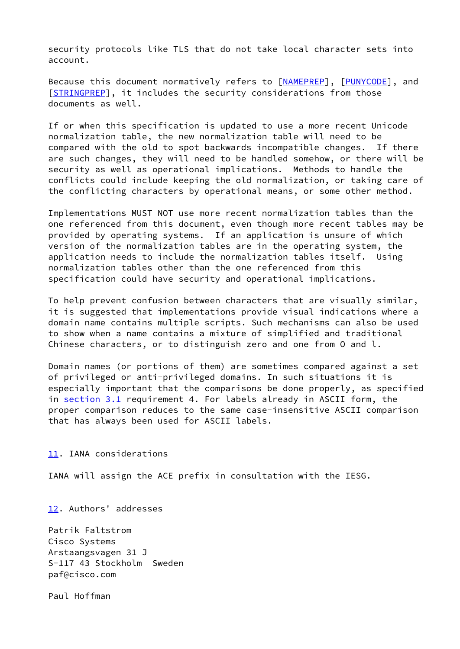security protocols like TLS that do not take local character sets into account.

Because this document normatively refers to [\[NAMEPREP](#page-13-0)], [\[PUNYCODE](#page-13-2)], and [\[STRINGPREP\]](#page-13-1), it includes the security considerations from those documents as well.

If or when this specification is updated to use a more recent Unicode normalization table, the new normalization table will need to be compared with the old to spot backwards incompatible changes. If there are such changes, they will need to be handled somehow, or there will be security as well as operational implications. Methods to handle the conflicts could include keeping the old normalization, or taking care of the conflicting characters by operational means, or some other method.

Implementations MUST NOT use more recent normalization tables than the one referenced from this document, even though more recent tables may be provided by operating systems. If an application is unsure of which version of the normalization tables are in the operating system, the application needs to include the normalization tables itself. Using normalization tables other than the one referenced from this specification could have security and operational implications.

To help prevent confusion between characters that are visually similar, it is suggested that implementations provide visual indications where a domain name contains multiple scripts. Such mechanisms can also be used to show when a name contains a mixture of simplified and traditional Chinese characters, or to distinguish zero and one from O and l.

Domain names (or portions of them) are sometimes compared against a set of privileged or anti-privileged domains. In such situations it is especially important that the comparisons be done properly, as specified in [section 3.1](#page-4-1) requirement 4. For labels already in ASCII form, the proper comparison reduces to the same case-insensitive ASCII comparison that has always been used for ASCII labels.

<span id="page-15-0"></span>[11.](#page-15-0) IANA considerations

IANA will assign the ACE prefix in consultation with the IESG.

<span id="page-15-1"></span>[12.](#page-15-1) Authors' addresses

Patrik Faltstrom Cisco Systems Arstaangsvagen 31 J S-117 43 Stockholm Sweden paf@cisco.com

Paul Hoffman